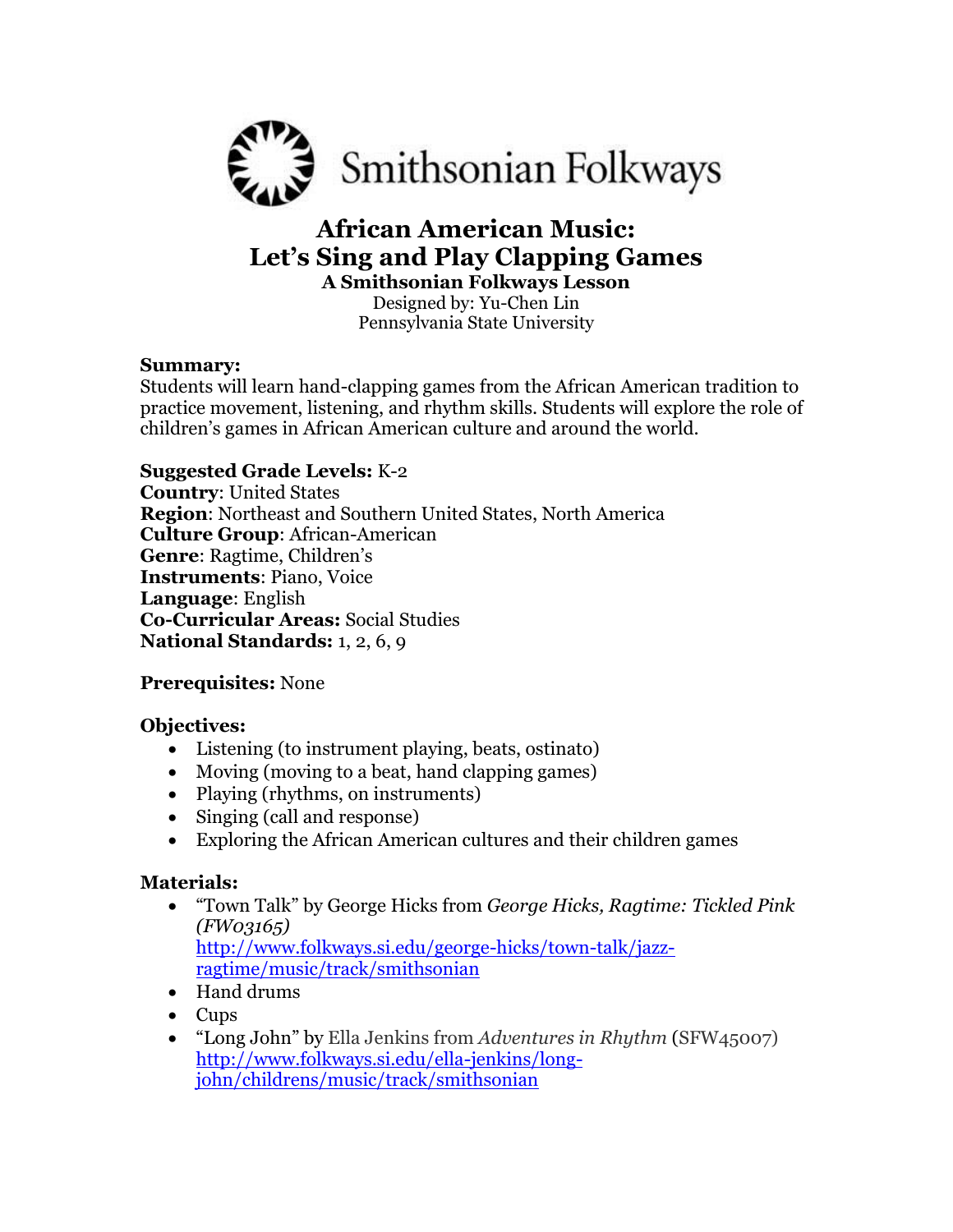

# **African American Music: Let's Sing and Play Clapping Games A Smithsonian Folkways Lesson**

Designed by: Yu-Chen Lin Pennsylvania State University

#### **Summary:**

Students will learn hand-clapping games from the African American tradition to practice movement, listening, and rhythm skills. Students will explore the role of children's games in African American culture and around the world.

## **Suggested Grade Levels:** K-2

**Country**: United States **Region**: Northeast and Southern United States, North America **Culture Group**: African-American **Genre**: Ragtime, Children's **Instruments**: Piano, Voice **Language**: English **Co-Curricular Areas:** Social Studies **National Standards:** 1, 2, 6, 9

## **Prerequisites:** None

## **Objectives:**

- Listening (to instrument playing, beats, ostinato)
- Moving (moving to a beat, hand clapping games)
- Playing (rhythms, on instruments)
- Singing (call and response)
- Exploring the African American cultures and their children games

## **Materials:**

 "Town Talk" by George Hicks from *George Hicks, Ragtime: Tickled Pink (FW03165)* [http://www.folkways.si.edu/george-hicks/town-talk/jazz-](http://www.folkways.si.edu/george-hicks/town-talk/jazz-ragtime/music/track/smithsonian)

[ragtime/music/track/smithsonian](http://www.folkways.si.edu/george-hicks/town-talk/jazz-ragtime/music/track/smithsonian)

- Hand drums
- Cups
- "Long John" by Ella Jenkins from *Adventures in Rhythm* (SFW45007) [http://www.folkways.si.edu/ella-jenkins/long](http://www.folkways.si.edu/ella-jenkins/long-john/childrens/music/track/smithsonian)[john/childrens/music/track/smithsonian](http://www.folkways.si.edu/ella-jenkins/long-john/childrens/music/track/smithsonian)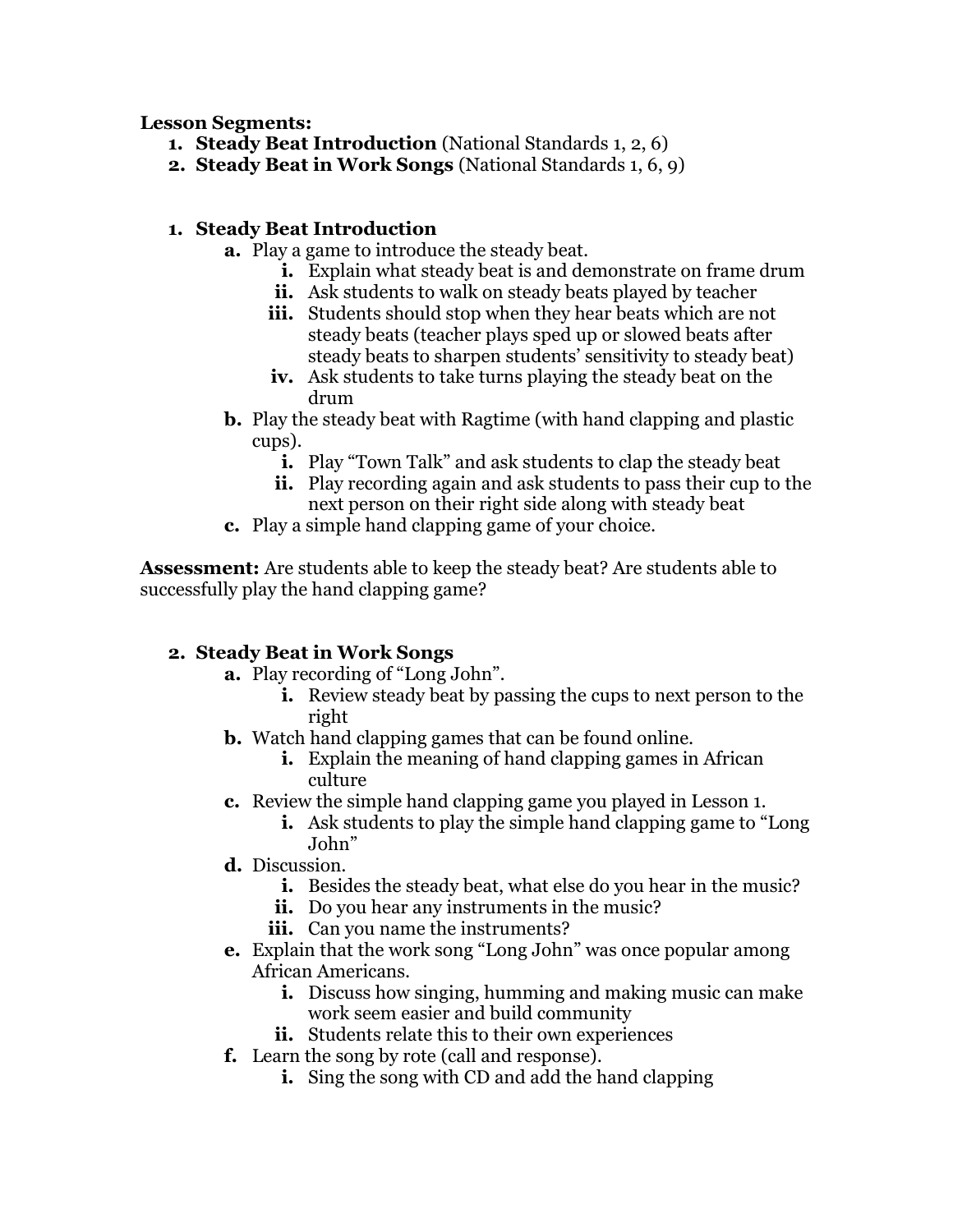**Lesson Segments:**

- **1. Steady Beat Introduction** (National Standards 1, 2, 6)
- **2. Steady Beat in Work Songs** (National Standards 1, 6, 9)

#### **1. Steady Beat Introduction**

- **a.** Play a game to introduce the steady beat.
	- **i.** Explain what steady beat is and demonstrate on frame drum
	- **ii.** Ask students to walk on steady beats played by teacher
	- **iii.** Students should stop when they hear beats which are not steady beats (teacher plays sped up or slowed beats after steady beats to sharpen students' sensitivity to steady beat)
	- **iv.** Ask students to take turns playing the steady beat on the drum
- **b.** Play the steady beat with Ragtime (with hand clapping and plastic cups).
	- **i.** Play "Town Talk" and ask students to clap the steady beat
	- **ii.** Play recording again and ask students to pass their cup to the next person on their right side along with steady beat
- **c.** Play a simple hand clapping game of your choice.

**Assessment:** Are students able to keep the steady beat? Are students able to successfully play the hand clapping game?

## **2. Steady Beat in Work Songs**

- **a.** Play recording of "Long John".
	- **i.** Review steady beat by passing the cups to next person to the right
- **b.** Watch hand clapping games that can be found online.
	- **i.** Explain the meaning of hand clapping games in African culture
- **c.** Review the simple hand clapping game you played in Lesson 1.
	- **i.** Ask students to play the simple hand clapping game to "Long" John"
- **d.** Discussion.
	- **i.** Besides the steady beat, what else do you hear in the music?
	- **ii.** Do you hear any instruments in the music?
	- **iii.** Can you name the instruments?
- **e.** Explain that the work song "Long John" was once popular among African Americans.
	- **i.** Discuss how singing, humming and making music can make work seem easier and build community
	- **ii.** Students relate this to their own experiences
- **f.** Learn the song by rote (call and response).
	- **i.** Sing the song with CD and add the hand clapping